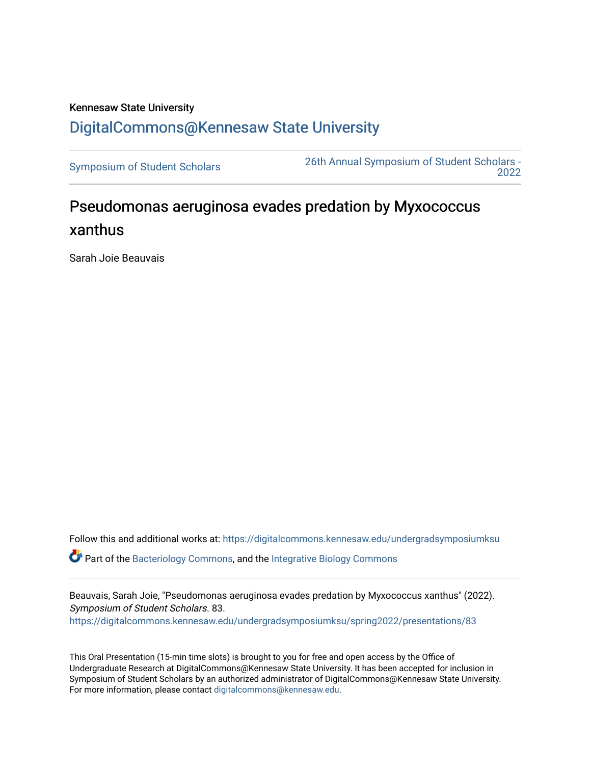## Kennesaw State University [DigitalCommons@Kennesaw State University](https://digitalcommons.kennesaw.edu/)

[Symposium of Student Scholars](https://digitalcommons.kennesaw.edu/undergradsymposiumksu) [26th Annual Symposium of Student Scholars -](https://digitalcommons.kennesaw.edu/undergradsymposiumksu/spring2022)  [2022](https://digitalcommons.kennesaw.edu/undergradsymposiumksu/spring2022) 

## Pseudomonas aeruginosa evades predation by Myxococcus xanthus

Sarah Joie Beauvais

Follow this and additional works at: [https://digitalcommons.kennesaw.edu/undergradsymposiumksu](https://digitalcommons.kennesaw.edu/undergradsymposiumksu?utm_source=digitalcommons.kennesaw.edu%2Fundergradsymposiumksu%2Fspring2022%2Fpresentations%2F83&utm_medium=PDF&utm_campaign=PDFCoverPages) 

 $\bullet$  Part of the [Bacteriology Commons](http://network.bepress.com/hgg/discipline/49?utm_source=digitalcommons.kennesaw.edu%2Fundergradsymposiumksu%2Fspring2022%2Fpresentations%2F83&utm_medium=PDF&utm_campaign=PDFCoverPages), and the Integrative Biology Commons

Beauvais, Sarah Joie, "Pseudomonas aeruginosa evades predation by Myxococcus xanthus" (2022). Symposium of Student Scholars. 83. [https://digitalcommons.kennesaw.edu/undergradsymposiumksu/spring2022/presentations/83](https://digitalcommons.kennesaw.edu/undergradsymposiumksu/spring2022/presentations/83?utm_source=digitalcommons.kennesaw.edu%2Fundergradsymposiumksu%2Fspring2022%2Fpresentations%2F83&utm_medium=PDF&utm_campaign=PDFCoverPages) 

This Oral Presentation (15-min time slots) is brought to you for free and open access by the Office of Undergraduate Research at DigitalCommons@Kennesaw State University. It has been accepted for inclusion in Symposium of Student Scholars by an authorized administrator of DigitalCommons@Kennesaw State University. For more information, please contact [digitalcommons@kennesaw.edu.](mailto:digitalcommons@kennesaw.edu)